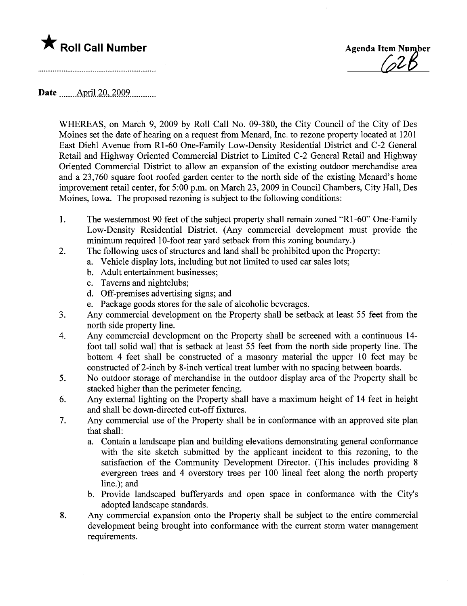\* Roll Call Number Agenda Item Number Agenda Item Number

Date ....\_\_\_AprjJ.2Q..2QQ9............

WHEREAS, on March 9, 2009 by Roll Call No. 09-380, the City Council of the City of Des Moines set the date of hearing on a request from Menard, Inc. to rezone property located at 1201 East Diehl Avenue from Rl-60 One-Family Low-Density Residential District and C-2 General Retail and Highway Oriented Commercial District to Limited C-2 General Retail and Highway Oriented Commercial District to allow an expansion of the existing outdoor merchandise area and a 23,760 square foot roofed garden center to the north side of the existing Menard's home improvement retail center, for 5:00 p.m. on March 23, 2009 in Council Chambers, City Hall, Des Moines, Iowa. The proposed rezoning is subject to the following conditions:

- 1. The westernmost 90 feet of the subject property shall remain zoned "R1-60" One-Family Low-Density Residential District. (Any commercial development must provide the minimum required 10-foot rear yard setback from this zoning boundary.)
- 2. The following uses of structures and land shall be prohibited upon the Property:
	- a. Vehicle display lots, including but not limited to used car sales lots;
	- b. Adult entertainment businesses;
	- c. Taverns and nightclubs;
	- d. Off-premises advertising signs; and
	- e. Package goods stores for the sale of alcoholic beverages.
- 3. Any commercial development on the Property shall be setback at least 55 feet from the north side property line.
- 4. Any commercial development on the Property shall be screened with a continuous 14 foot tall solid wall that is setback at least 55 feet from the north side property line. The bottom 4 feet shall be constructed of a masonry material the upper 10 feet may be constructed of 2-inch by 8-inch vertical treat lumber with no spacing between boards.
- 5. No outdoor storage of merchandise in the outdoor display area of the Property shall be stacked higher than the perimeter fencing.
- 6. Any external lighting on the Property shall have a maximum height of 14 feet in height and shall be down-directed cut-off fixtures.
- 7. Any commercial use of the Property shall be in conformance with an approved site plan that shall:
	- a. Contain a landscape plan and building elevations demonstrating general conformance with the site sketch submitted by the applicant incident to this rezoning, to the satisfaction of the Community Development Director. (This includes providing 8 evergreen trees and 4 overstory trees per 100 lineal feet along the north property line.); and
	- b. Provide landscaped bufferyards and open space in conformance with the City's adopted landscape standards.
- 8. Any commercial expansion onto the Property shall be subject to the entire commercial development being brought into conformance with the curent storm water management requirements.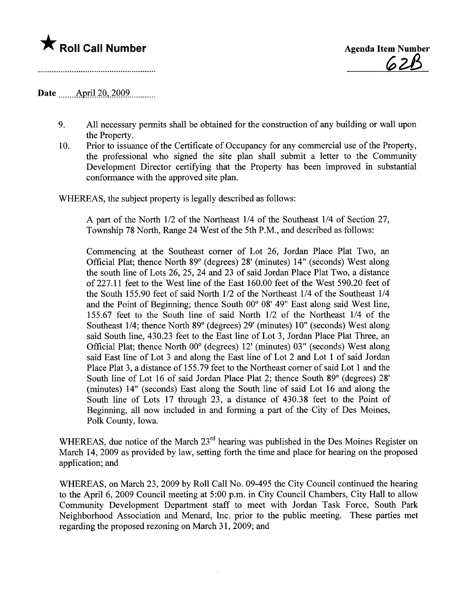# \* Roll Call Number Agenda Item Number

~zß

### Date April 20, 2009

- 9. All necessary permits shall be obtained for the construction of any building or wall upon the Property.
- 10. Prior to issuance of the Certificate of Occupancy for any commercial use of the Property, the professional who signed the site plan shall submit a letter to the Community Development Director certifying that the Property has been improved in substantial conformance with the approved site plan.

WHEREAS, the subject property is legally described as follows:

A part of the North 1/2 of the Northeast 1/4 of the Southeast 1/4 of Section 27, Township 78 North, Range 24 West of the 5th P.M., and described as follows:

Commencing at the Southeast corner of Lot 26, Jordan Place Plat Two, an Official Plat; thence North 89° (degrees) 28' (minutes) 14" (seconds) West along the south line of Lots 26, 25, 24 and 23 of said Jordan Place Plat Two, a distance of 227.11 feet to the West line of the East 160.00 feet of the West 590.20 feet of the South 155.90 feet of said North 1/2 of the Northeast 1/4 of the Southeast 1/4 and the Point of Beginning; thence South 00° 08' 49" East along said West line, 155.67 feet to the South line of said North 1/2 of the Northeast 1/4 of the Southeast 1/4; thence North 89° (degrees) 29' (minutes) 10" (seconds) West along said South line, 430.23 feet to the East line of Lot 3, Jordan Place Plat Three, an Official Plat; thence North 00° (degrees) 12' (minutes) 03" (seconds) West along said East line of Lot 3 and along the East line of Lot 2 and Lot 1 of said Jordan Place Plat 3, a distance of 155.79 feet to the Northeast corner of said Lot 1 and the South line of Lot 16 of said Jordan Place Plat 2; thence South 89° (degrees) 28' (minutes) 14" (seconds) East along the South line of said Lot 16 and along the South line of Lots 17 through 23, a distance of 430.38 feet to the Point of Beginning, all now included in and forming a part of the City of Des Moines, Polk County, Iowa.

WHEREAS, due notice of the March 23<sup>rd</sup> hearing was published in the Des Moines Register on March 14, 2009 as provided by law, setting forth the time and place for hearing on the proposed application; and

WHEREAS, on March 23, 2009 by Roll Call No. 09-495 the City Council continued the hearing to the April 6, 2009 Council meeting at 5:00 p.m. in City Council Chambers, City Hall to allow Community Development Department staff to meet with Jordan Task Force, South Park Neighborhood Association and Menard, Inc. prior to the public meeting. These parties met regarding the proposed rezoning on March 31, 2009; and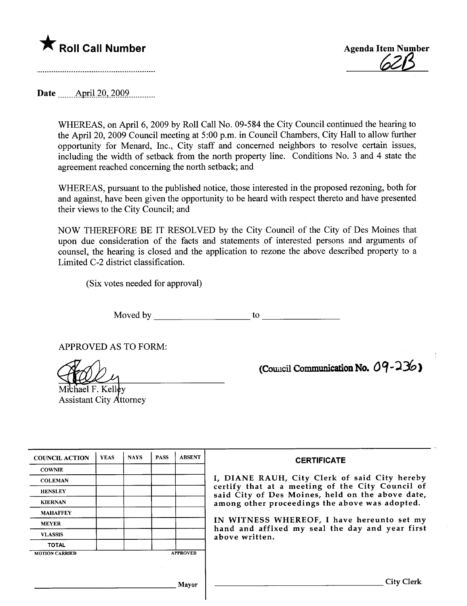



Date \_\_\_\_\_\_Aprj-i2Q..2QQ9.....\_\_\_\_\_\_

WHEREAS, on April 6, 2009 by Roll Call No. 09-584 the City Council continued the hearing to the April 20, 2009 Council meeting at 5 :00 p.m. in Council Chambers, City Hall to allow further opportunity for Menard, Inc., City staff and concerned neighbors to resolve certain issues, including the width of setback from the north property line. Conditions No.3 and 4 state the agreement reached concerning the north setback; and

WHEREAS, pursuant to the published notice, those interested in the proposed rezoning, both for and against, have been given the opportunity to be heard with respect thereto and have presented their views to the City Council; and

NOW THEREFORE BE IT RESOLVED by the City Council of the City of Des Moines that upon due consideration of the facts and statements of interested persons and arguments of counsel, the hearing is closed and the application to rezone the above described property to a Limited C-2 district classification.

(Six votes needed for approval)

Moved by to

APPROVED AS TO FORM:

Michael F. Kelley<br>Assistant City Attorney

(Council Communication No.  $09 - 236$ )

| <b>COUNCIL ACTION</b> | <b>YEAS</b> | <b>NAYS</b> | <b>PASS</b> | <b>ABSENT</b>   | <b>CERTIFICATE</b>                                                                                                                                     |  |  |  |  |  |
|-----------------------|-------------|-------------|-------------|-----------------|--------------------------------------------------------------------------------------------------------------------------------------------------------|--|--|--|--|--|
| <b>COWNIE</b>         |             |             |             |                 |                                                                                                                                                        |  |  |  |  |  |
| <b>COLEMAN</b>        |             |             |             |                 | I, DIANE RAUH, City Clerk of said City hereby                                                                                                          |  |  |  |  |  |
| <b>HENSLEY</b>        |             |             |             |                 | certify that at a meeting of the City Council of<br>said City of Des Moines, held on the above date,<br>among other proceedings the above was adopted. |  |  |  |  |  |
| <b>KIERNAN</b>        |             |             |             |                 |                                                                                                                                                        |  |  |  |  |  |
| <b>MAHAFFEY</b>       |             |             |             |                 |                                                                                                                                                        |  |  |  |  |  |
| <b>MEYER</b>          |             |             |             |                 | IN WITNESS WHEREOF, I have hereunto set my<br>hand and affixed my seal the day and year first                                                          |  |  |  |  |  |
| <b>VLASSIS</b>        |             |             |             |                 | above written.                                                                                                                                         |  |  |  |  |  |
| <b>TOTAL</b>          |             |             |             |                 |                                                                                                                                                        |  |  |  |  |  |
| <b>MOTION CARRIED</b> |             |             |             | <b>APPROVED</b> |                                                                                                                                                        |  |  |  |  |  |
|                       |             |             |             |                 |                                                                                                                                                        |  |  |  |  |  |
|                       |             |             |             | Mavor           | City (                                                                                                                                                 |  |  |  |  |  |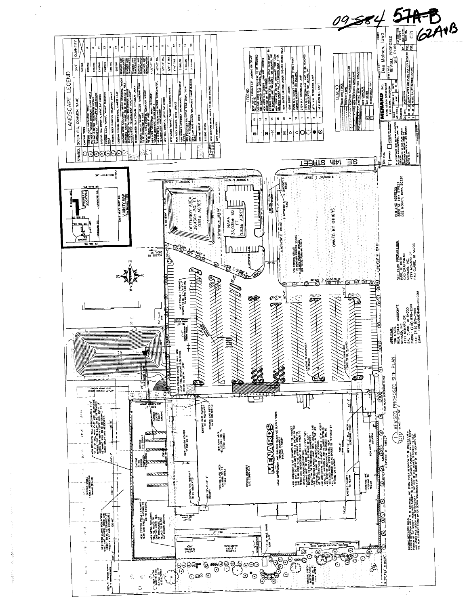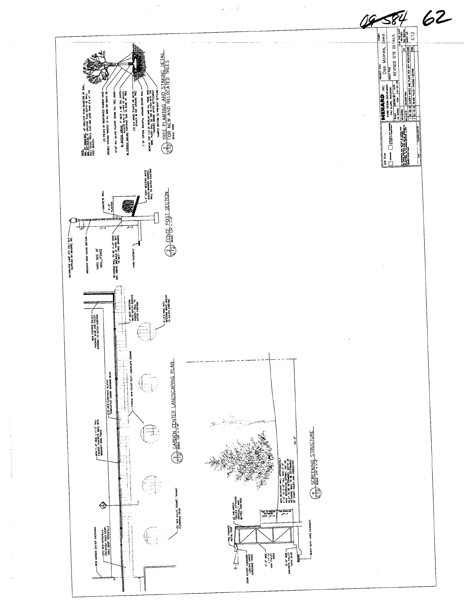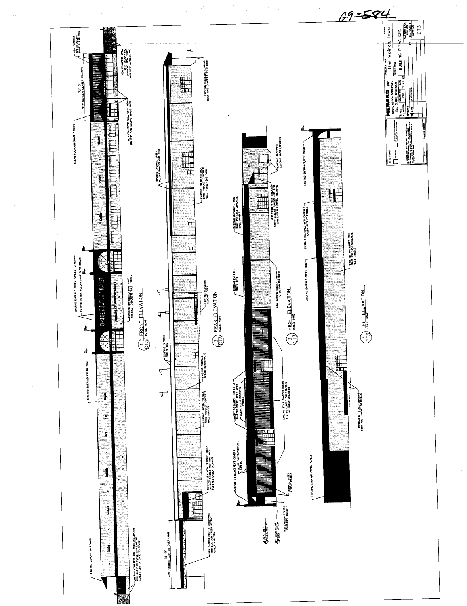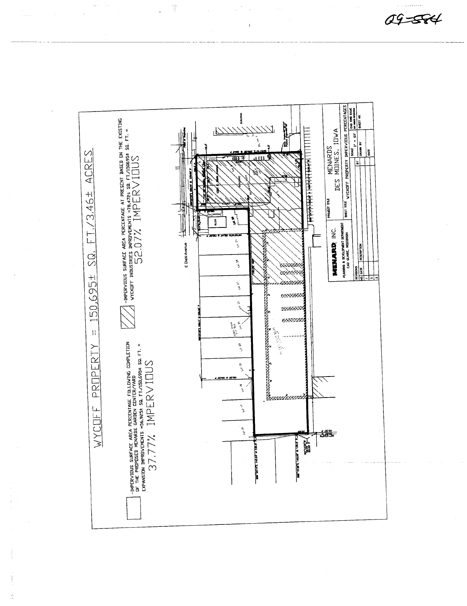$49 - 574$ 



4)<br>D

ÿ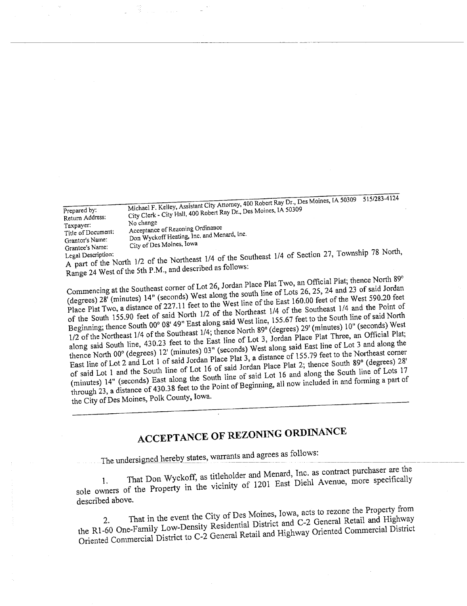Prepared by: Return Address: Taxpayer: Title of Document: Grantor's Name: Grantee's Name: Michael F. Kelley, Assistant City Attorney, 400 Robert Ray Dr" Des Moines, IA 50309 City Clerk - City Hall, 400 Robert Ray Dr., Des Moines, IA 50309 No change Acceptance of Rezoning Ordinance Don Wyckoff Heating, Inc, and Menard, Ine, City of Des Moines, Iowa 5 i 5/283-4124

Legal Description: A part of the North  $1/2$  of the Northeast 1/4 of  $\frac{1}{2}$  of  $\frac{1}{2}$  or  $\frac{1}{2}$  or  $\frac{1}{2}$  and described as follows: Range 24 West of the 5th P.M., and described as follows:

Commencing at the Southeast corner of Lot 26, Jordan Place Plat Two, an Official Plat; thence North 89° (degrees) 28' (minutes)  $14'$  (second south line of the south line of the East 160.00 feet of the south  $\Omega$ Place Plat Two, a  $\epsilon$  227.11  $\pm$  10 of the Northeast (degrees) 28' (minutes) 14" (seconds) West along the south line of Lots 26, 25, 24 and 23 of said Jordan of the South 155.90 feet of said North 1/2 of the Northeast 1/4 of the Southeast 1/4 and the Point of Beginning; thence South 00° 08' 49" East along said West line, 155.67 feet to the South line of said North 1/2 of the Northeast 1/4 of the Southeast 1/4; thence North 89° (degrees) 29' (minutes) 10" (seconds) West along said South line, 430.23 feet to the East line of Lot 3, Jordan Place Plat Three, an Official Plat; thence North 00° (degrees) 12' (minutes) 03" (seconds) West along said East line of Lot 3 and along the East line of Lot 2 and Lot 1 of said Jordan Place Plat 3, a distance of 155,79 feet to the Northeast comer of said Lot 1 and the South line of Lot 16 of said Jordan Place Plat 2; thence South 89° (degrees) 28' (minutes) 14" (seconds) East along the South line of said Lot 16 and along the South line of Lots 17 through 23, a distance of 430.3 8 feet to the Point of Beginning, all now included in and fonning a part of the City of Des Moines, Polk County, Iowa.

# ACCEPTANCE OF REZONING ORDINANCE

The undersigned hereby states, warrants and agrees as follows:<br>1. That Don Wyckoff, as titleholder and Menard, Inc. as contract purchaser are the 1. That Don Wyckoff, as titleholder and Merchan for the Avenue, more specifically sole owners of the Property  $\frac{1201}{201}$ 

described above.<br>2. That in the event the City of Des Moines, Iowa, acts to rezone the Property from 2. That in the event the  $\sum_{i=1}^{\infty}$  denoted District and C-2 General Retail and Highway the R1-60 One-Family Low-Density Residential District and Highway Oriented Commercial District Oriented Commercial District to C-2 General Retail and Highway Oriented Commercial District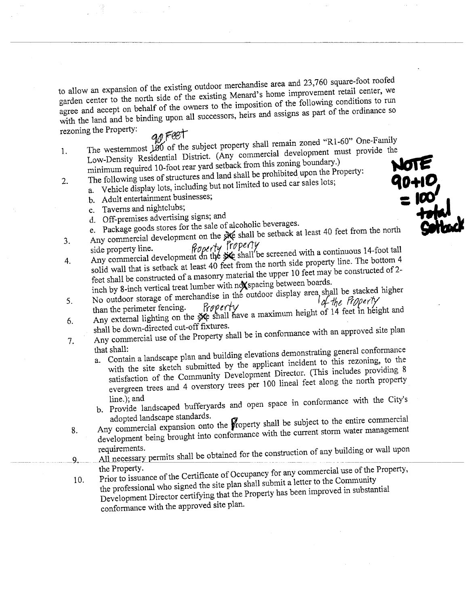to allow an expansion of the existing outdoor merchandise area and 23,760 square-foot roofed agree and accept on behalf of the owners to the imposition of the following conditions to run agree and accept on behalf of the owners to the improvement and assigns as part of the ordinance so with the land and be binding upon all successors,  $\frac{1}{2}$  and  $\frac{1}{2}$  and  $\frac{1}{2}$  and  $\frac{1}{2}$  and  $\frac{1}{2}$  and  $\frac{1}{2}$  and  $\frac{1}{2}$  and  $\frac{1}{2}$  and  $\frac{1}{2}$  and  $\frac{1}{2}$  and  $\frac{1}{2}$  and  $\frac{1}{2}$  and  $\frac$ 

rezoning the Property:  $a \theta \overline{f}$ The westernmost  $\frac{1}{200}$  of the subject property shall remain zoned "R1-60" One-Family 1. The westernost  $\frac{1}{2}$  of the subject  $\frac{1}{2}$  commercial development must provide the Low-Density Residential District. (Any commercial development must provide the  $\sim$ minimum required  $10-100$  i.e.d. yard setemble propositived upon the Property: The following uses of structures and land shall be prohibited upon the Property:<br>
a. Vehicle display lots, including but not limited to used car sales lots;<br>
b. Adult entertainment businesses;<br>
c. Taverns and nightclubs;<br>

- 2. The following uses of structures and land shall be problem in the problem in the problem of  $\mathbf{D}$ 
	-
	-
	-
	- e. Package goods stores for the sale of alcoholic beverages.
- Any commercial development on the site shall be setback at least 40 feet from the north  $3.$  Any commercial development on the shall be set of the north  $\alpha$
- side property line.  $\eta \circ \rho \circ \eta'$ 4. Any commercial development on the secret do foot from the north side property line. The bottom  $\frac{4}{5}$ solid wall that is setback at least 40 feet from the north side  $\frac{1}{2}$  feet may be constructed of 2. feet shall be constructed of a masonry material the upper 10 feet may be constmcted of 2 inch by 8-inch vertical treat lumber with nox spacing between boards.
- 5. No outdoor storage of merchandise in the outdoor display area shall be stacked higher<br>than the perimeter fencing. Property
- than the perimeter fencing. Frapper  $f(x)$  is maximum height of 14 feet in height  $6.$  Any external lighting on the  $_{\rm 50}$  sbail have a maximum  $\sim$
- shall be down-directed cut-off fixtures. 7. Any commercial use of the Property shall be in conformance with an approved site plan<br>that shall:<br>the shall conformance
	- that shall: a. Contain a landscape plan  $\frac{d}{dx}$  is the emplicant incident to this rezoning, to the with the site sketch submitted by the applicant incident to this rezoning, to the satisfaction of the Community Development Director. (This includes providing 8 evergreen trees and 4 overstory trees per 100 lineal tèet along the north property
	- line.); and  $b$ . Provide landscaped bufferyards and open space  $\frac{c_1}{c_1}$
	- adopted landscape standards.<br>Any commercial expansion onto the **property** shall be subject to the entire commercial  $8.$  Any commercial expansion onto the  $_{\text{propoisy}}$  shall be current storm water management development being brought into conformance with the current storm was
- requirements. y. <u>All liecessary permits shall be obtained for the construction of any building or wall upon</u>
	- the Property. 10. Prior to issuance of the Certificate of  $\frac{1}{2}$  of  $\frac{1}{2}$  and  $\frac{1}{2}$  and  $\frac{1}{2}$  use  $\frac{1}{2}$  use of the  $\frac{1}{2}$  and  $\frac{1}{2}$  and  $\frac{1}{2}$  and  $\frac{1}{2}$  and  $\frac{1}{2}$  and  $\frac{1}{2}$  and  $\frac{1}{2}$  and  $\frac$ the professional who signed the site plan shall submit a letter to the Community Development Director certifying that the Property has been improved in substantial
		- conformance with the approved site plan.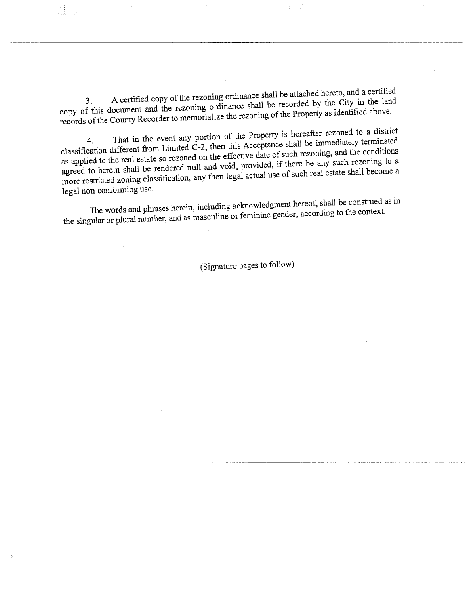3. A certified copy of the rezoning ordinance shall be recorded by the City in the land copy of this document and the rezoning ordinance shall be reposited as identified above. records of the County Recorder to memorial the Property as identified above.

4. That in the event any portugal this Accordance shall be immediately terminated classification different from Limited C-2, then this Acceptance shall be regoning, and the conditions as applied to the real estate so rezoned on the effective date of such rezoning, and the conditions agreed to herein shall be rendered null and void, provided, if there be any such rezoning to a more restricted zoning classification, any then legal actual use of such real estate shall become a legal non-conforming use.

The words and phrases herein, including acknowledgment hereof, shall be construed as in the singular or plural number, and as masculine or feminine gender, according to the context.

(Signature pages to follow)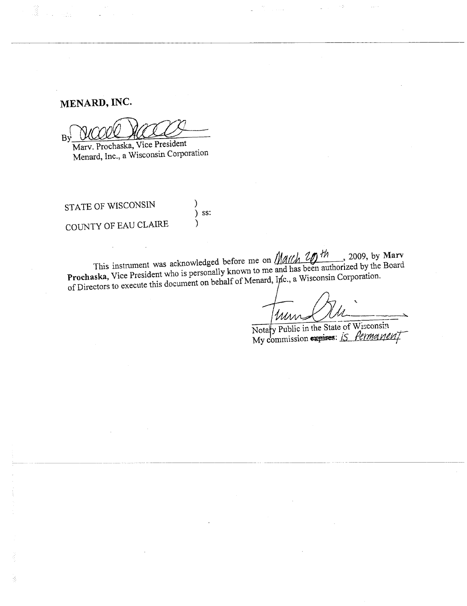## MENARD, INC.

Î

Ŕ

By

Marv. Prochaska, Vice President Menard, Inc., a Wisconsin Corporation

STATE OF WISCONSIN COUNTY OF EAU CLAIRE

This instrument was acknowledged before me on  $M/M/M$   $2D$  th, 2009, by Marv Prochaska, Vice President who is personally known to me and has been authorized by the Board of Directors to execute this document on behalf of Menard, Inc., a Wisconsin Corporation.

Ι ) ss:

١

um.

Чş

Notary Public in the State of Wisconsin<br>My commission expires: *IS Permanen*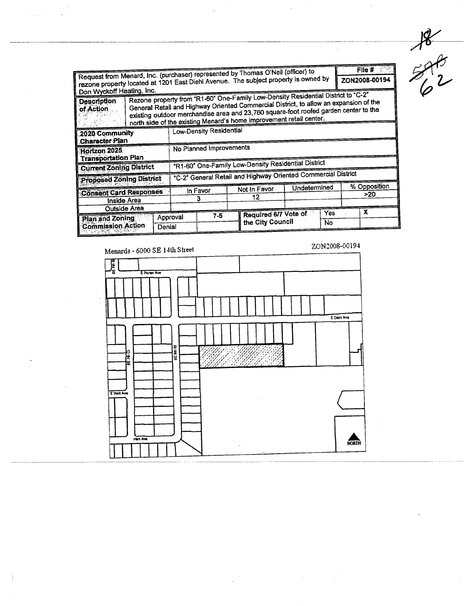Request from Menard, Inc. (purchaser) represented by Thomas O'Neil (officer) to File  $#$ regions property located at 1201 East Diehl Avenue. The subject property is owned by ZON2008-00194 Don Wyckoff Heating, Inc. Rezone property from "R1-60" One-Family Low-Density Residential District to "C-2" **Description** General Retail and Highway Oriented Commercial District, to allow an expansion of the existing outdoor merchandise area and 23,760 square-foot roofed garden center to the of Action north side of the existing Menard's home improvement retail center. Low-Density Residential 2020 Community **Character Plan** No Planned Improvements Horizon 2025 **Transportation Plan** "R1-60" One-Family Low-Density Residential District **Current Zoning District** "C-2" General Retail and Highway Oriented Commercial District **Proposed Zoning District** % Opposition Undetermined Not In Favor **Consent Card Responses** In Favor  $>20$  $\overline{12}$  $\overline{\mathbf{3}}$ **Inside Area Outside Area** Required 6/7 Vote of  $\overline{Yes}$  $\overline{\mathbf{x}}$  $7-5$ Approval Plan and Zoning the City Council  $\overline{N_{0}}$ **Commission Action** Denial

 $3840$ 

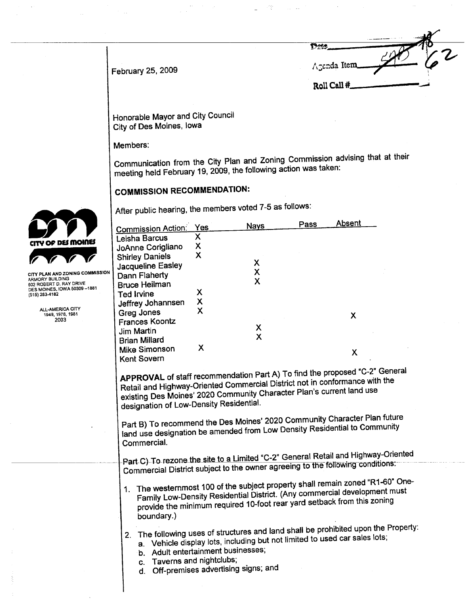$\overline{\phantom{a}}$ Dete<br>/\genda Item Roll Call #

February 25, 2009

Honorable Mayor and City Council City of Des Moines, Iowa

 $\bar{\omega}$ 

Members:

Communication from the City Plan and Zoning Commission advising that at their meeting held February 19, 2009, the following action was taken:

 $\frac{1}{\sqrt{2}}\frac{d\omega}{d\omega}$ 

 $\bar{\mathcal{A}}$ 

## COMMISSION RECOMMENDATION:

After public hearing, the members voted 7-5 as follows:

|                                                        | <b>Commission Action:</b>                                                                                                                                                                                                                                                                 | Yes                       | <b>Nays</b> | Pass | Absent |  |  |  |  |
|--------------------------------------------------------|-------------------------------------------------------------------------------------------------------------------------------------------------------------------------------------------------------------------------------------------------------------------------------------------|---------------------------|-------------|------|--------|--|--|--|--|
|                                                        |                                                                                                                                                                                                                                                                                           | X.                        |             |      |        |  |  |  |  |
| CITY OF DES MOINES                                     | Leisha Barcus                                                                                                                                                                                                                                                                             | X                         |             |      |        |  |  |  |  |
|                                                        | JoAnne Corigliano                                                                                                                                                                                                                                                                         | X                         |             |      |        |  |  |  |  |
|                                                        | <b>Shirley Daniels</b>                                                                                                                                                                                                                                                                    |                           | X           |      |        |  |  |  |  |
| CITY PLAN AND ZONING COMMISSION                        | Jacqueline Easley                                                                                                                                                                                                                                                                         |                           | X           |      |        |  |  |  |  |
| ARMORY BUILDING                                        | Dann Flaherty                                                                                                                                                                                                                                                                             |                           | X           |      |        |  |  |  |  |
| 602 ROBERT D. RAY DRIVE<br>DES MOINES, IOWA 50309-1881 | <b>Bruce Heilman</b>                                                                                                                                                                                                                                                                      | Χ                         |             |      |        |  |  |  |  |
| (515) 283-4182                                         | Ted Irvine                                                                                                                                                                                                                                                                                | $\boldsymbol{\mathsf{X}}$ |             |      |        |  |  |  |  |
| ALL-AMERICA CITY                                       | Jeffrey Johannsen                                                                                                                                                                                                                                                                         | X                         |             |      |        |  |  |  |  |
| 1949, 1976, 1981<br>2003                               | Greg Jones                                                                                                                                                                                                                                                                                |                           |             |      | X      |  |  |  |  |
|                                                        | <b>Frances Koontz</b>                                                                                                                                                                                                                                                                     |                           | Х           |      |        |  |  |  |  |
|                                                        | Jim Martin                                                                                                                                                                                                                                                                                |                           | X           |      |        |  |  |  |  |
|                                                        | <b>Brian Millard</b>                                                                                                                                                                                                                                                                      |                           |             |      |        |  |  |  |  |
|                                                        | Mike Simonson                                                                                                                                                                                                                                                                             | X                         |             |      | X      |  |  |  |  |
|                                                        | Kent Sovern                                                                                                                                                                                                                                                                               |                           |             |      |        |  |  |  |  |
|                                                        | existing Des Moines' 2020 Community Character Plan's current land use<br>designation of Low-Density Residential.<br>Part B) To recommend the Des Moines' 2020 Community Character Plan future<br>land use designation be amended from Low Density Residential to Community<br>Commercial. |                           |             |      |        |  |  |  |  |
|                                                        | Part C) To rezone the site to a Limited "C-2" General Retail and Highway-Oriented<br>Commercial District subject to the owner agreeing to the following conditions:                                                                                                                       |                           |             |      |        |  |  |  |  |
|                                                        | 1. The westernmost 100 of the subject property shall remain zoned "R1-60" One-<br>Family Low-Density Residential District. (Any commercial development must<br>provide the minimum required 10-foot rear yard setback from this zoning<br>boundary.)                                      |                           |             |      |        |  |  |  |  |
|                                                        | 2. The following uses of structures and land shall be prohibited upon the Property:<br>a. Vehicle display lots, including but not limited to used car sales lots;<br>b. Adult entertainment businesses;<br>Taverns and nightclubs;<br>C.<br>Off-premises advertising signs; and<br>d.     |                           |             |      |        |  |  |  |  |



 $\bar{a}$ 

 $\bar{z}$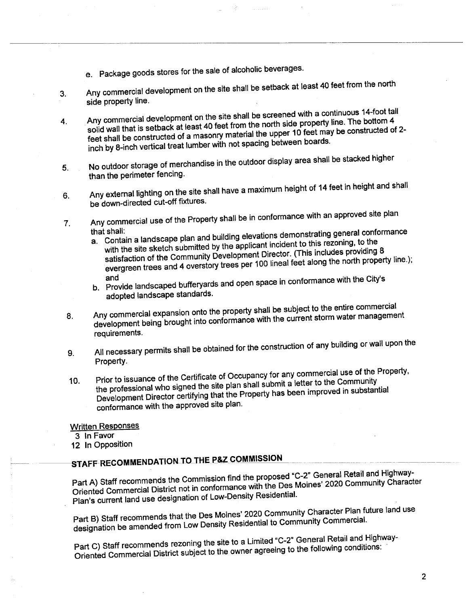- e. Package goods stores for the sale of alcoholic beverages.
- 3. Any commercial development on the site shall be setback at least 40 feet from the north
- side property line.<br>Any commercial development on the site shall be screened with a continuous 14-foot tall 4. Any commercial development on the site shall be screened with a commercial continuous solid wall that is setback at least 40 feet from the north side property line. The bottom 4 solid wall that is setback at least  $40$  fect from the linear 10 feet may be constructed c feet shall be constructed of a masonry material the upper  $\frac{1}{2}$ -the upper 10 feet materials. inch by 8-inch vertical treat lumber with not spacing between boards.
- 5. No outdoor storage of merchandise in the outdoor display area shall be stacked higher than the perimeter fencing.
- 6. Any external lighting on the site shall have a maximum height of 14 feet in height and shall be down-directed cut-off fixtures.
- 7. Any commercial use of the Property shall be in conformance with an approved site plan
	- that shall: a. Contain a landscape plan and building elevations dependent to this rezoning, to the with the site sketch submitted by the applicant incident to this rezoning, to the satisfaction of the Community Development Director. (This includes providing 8 evergreen trees and 4 overstory trees per 100 lineal feet along the north property line.); and
	- $b$ . Provide landscaped bufferyatus and open space in conformation  $\mathbf{c}$
- adopted landscape standards.<br>Any commercial expansion onto the property shall be subject to the entire commercial 8. Any commercial expansion onto the property shall be successful water management development being brought into combinance with the current storm was demonstrated with the current storm was demonstrated with the current storm was defined with the current storm was defined with the current storm was def requirements.
- 9. All necessary permits shall be obtained for the construction of any building or wall upon the Property.
- 10. Prior to issuance of the Certificate of Occupancy for any commercial use of the Property, the professional who signed the site plan shall submit a letter to the Community Development Director certifying that the Property has been improved in substantial conformance with the approved site plan.

Written Responses

3 In Favor

12 In Opposition

STAFF-RECOMMENDATION TO THE P&Z COMMISSION<br>Part A) Staff recommends the Commission find the proposed "C-2" General Retail and Highway-Part A) Staff recommends the Commission find the Ces Moines' 2020 Community Charac Oriented Commercial District not in computation with the Desidential. Plan's current land use designation of Low-Density ResidentiaL.

Part B) Staff recommends that the Des Moines' 2020 Community Character Plan future land use designation be amended from Low Density Residential to Community CommerciaL.

Part C) Staff recommends rezoning the site to a Limited "C-2" General Retail and Highway-Oriented Commercial District subject to the owner agreeing to the following conditions: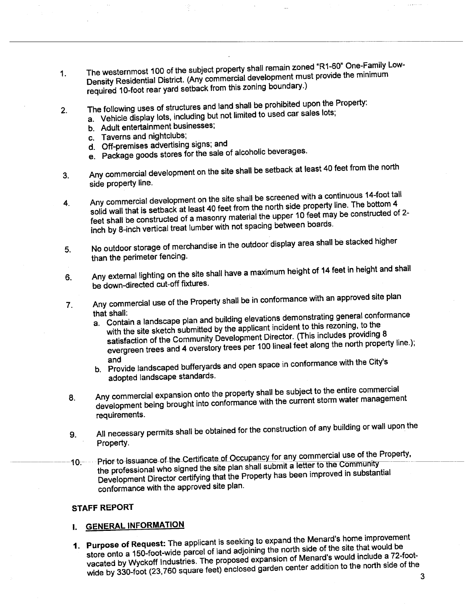- 1. The westernmost 100 of the subject property shall remain  $\frac{1}{2}$ . The westernmum  $\frac{1}{2}$ Density Residential District. (Any commercial development must provide the minimum must provide the minimum must required 10-foot rear yard setback from this zoning boundary.)
- 2. The following uses of structures and land shall be prohibited upon the Property:
	- a. Vehicle display lots, including but not limited to used car sales lots;
		- b. Adult entertainment businesses;
		-
		- c. Taverns and nightclubs;<br>d. Off-premises advertising signs; and
		- d. Off-premises advertising signs; and e. Package goods stores for the sale of alcoholic beverages.
- 3. Any commercial development on the site shall be setback at least 40 feet from the north
- side property line.<br>Any commercial development on the site shall be screened with a continuous 14-foot tall 4. Any commercial development on the site shall be screened with a continuous solid wall that is setback at least 40 feet from the north side property line. The bottom 4 solid wall that is setback at least 40 feet from the north side proper 10 feet may be constructed c feet shall be constructed of a masonry material the upper  $\frac{1}{2}$  feet shall be constructed of 2inch by 8-inch vertical treat lumber with not spacing between boards.
- 5. No outdoor storage of merchandise in the outdoor display area shall be stacked higher than the perimeter fencing.
- 6. Any external lighting on the site shall have a maximum height of 14 feet in height and shall be down-directed cut-off fixtures.
- 7. Any commercial use of the Property shall be in conformance with an approved site plan<br>that shall:<br>the conformance is a subsected in the contraction contour conformance
	- that shall: a. Contain a landscape plan and building elevations demonstrations reconing, to the with the site sketch submitted by the applicant incident to this rezoning, to the satisfaction of the Community Development Director. (This includes providing 8 evergreen trees and 4 overstory trees per 100 lineal feet along the north property line.);<br>and
	- and  $b$ . Provide landscaped bufferyards and open space in conformance with the  $C$
- adopted landscape standards.<br>Any commercial expansion onto the property shall be subject to the entire commercial 8. Any commercial expansion onto the property shall be subject to the management development being brought into conformance with the current statement of the current statement of the current statement of the current statement of the current statement of the current statement of the current statement of requirements.
- 9. All necessary permits shall be obtained for the construction of any building or wall upon the Property.
- 10;------Prior to-issuance-of the Certificate of Occupancy for any commercial use of the Property,<br>the professional who signed the site plan shall submit a letter to the Community the professional who signed the site plan shall submit a letter to the community-Development Director certifying that the Property has been improved in  $\mathbb{R}^n$ conformance with the approved site plan.

### STAFF REPORT

## i. GENERAL INFORMATION

1. Purpose of Request: The applicant is seeking to expand the Menard's home improvement store onto a 150-foot-wide parcel of land adjoining the north side of the site that would be vacated by Wyckoff Industries. The proposed expansion of Menard's would include a 72-footwide by 330-foot (23,760 square feet) enclosed garden center addition to the north side of the